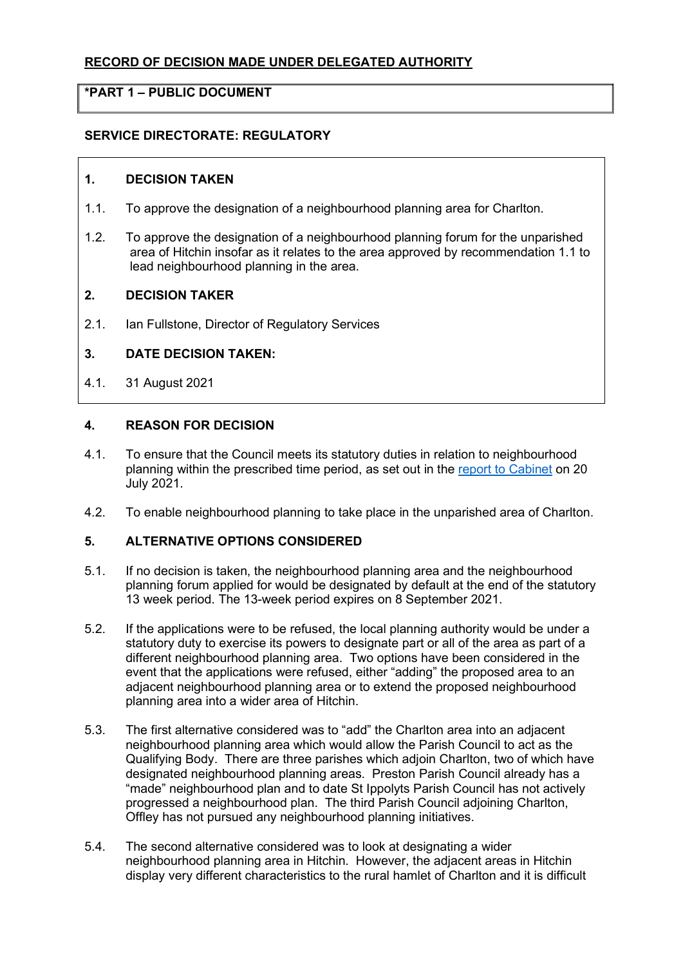# RECORD OF DECISION MADE UNDER DELEGATED AUTHORITY

## \*PART 1 – PUBLIC DOCUMENT

## SERVICE DIRECTORATE: REGULATORY

#### 1. DECISION TAKEN

- 1.1. To approve the designation of a neighbourhood planning area for Charlton.
- 1.2. To approve the designation of a neighbourhood planning forum for the unparished area of Hitchin insofar as it relates to the area approved by recommendation 1.1 to lead neighbourhood planning in the area.

### 2. DECISION TAKER

2.1. Ian Fullstone, Director of Regulatory Services

### 3. DATE DECISION TAKEN:

4.1. 31 August 2021

#### 4. REASON FOR DECISION

- 4.1. To ensure that the Council meets its statutory duties in relation to neighbourhood planning within the prescribed time period, as set out in the report to Cabinet on 20 July 2021.
- 4.2. To enable neighbourhood planning to take place in the unparished area of Charlton.

#### 5. ALTERNATIVE OPTIONS CONSIDERED

- 5.1. If no decision is taken, the neighbourhood planning area and the neighbourhood planning forum applied for would be designated by default at the end of the statutory 13 week period. The 13-week period expires on 8 September 2021.
- 5.2. If the applications were to be refused, the local planning authority would be under a statutory duty to exercise its powers to designate part or all of the area as part of a different neighbourhood planning area. Two options have been considered in the event that the applications were refused, either "adding" the proposed area to an adjacent neighbourhood planning area or to extend the proposed neighbourhood planning area into a wider area of Hitchin.
- 5.3. The first alternative considered was to "add" the Charlton area into an adjacent neighbourhood planning area which would allow the Parish Council to act as the Qualifying Body. There are three parishes which adjoin Charlton, two of which have designated neighbourhood planning areas. Preston Parish Council already has a "made" neighbourhood plan and to date St Ippolyts Parish Council has not actively progressed a neighbourhood plan. The third Parish Council adjoining Charlton, Offley has not pursued any neighbourhood planning initiatives.
- 5.4. The second alternative considered was to look at designating a wider neighbourhood planning area in Hitchin. However, the adjacent areas in Hitchin display very different characteristics to the rural hamlet of Charlton and it is difficult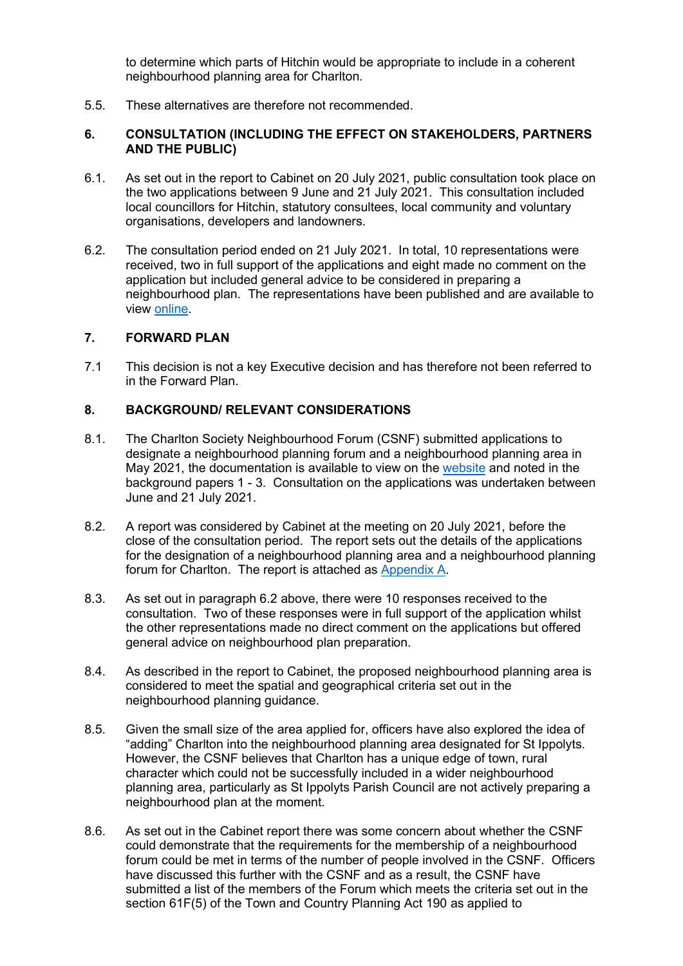to determine which parts of Hitchin would be appropriate to include in a coherent neighbourhood planning area for Charlton.

5.5. These alternatives are therefore not recommended.

### 6. CONSULTATION (INCLUDING THE EFFECT ON STAKEHOLDERS, PARTNERS AND THE PUBLIC)

- 6.1. As set out in the report to Cabinet on 20 July 2021, public consultation took place on the two applications between 9 June and 21 July 2021. This consultation included local councillors for Hitchin, statutory consultees, local community and voluntary organisations, developers and landowners.
- 6.2. The consultation period ended on 21 July 2021. In total, 10 representations were received, two in full support of the applications and eight made no comment on the application but included general advice to be considered in preparing a neighbourhood plan. The representations have been published and are available to view online.

# 7. FORWARD PLAN

7.1 This decision is not a key Executive decision and has therefore not been referred to in the Forward Plan.

### 8. BACKGROUND/ RELEVANT CONSIDERATIONS

- 8.1. The Charlton Society Neighbourhood Forum (CSNF) submitted applications to designate a neighbourhood planning forum and a neighbourhood planning area in May 2021, the documentation is available to view on the website and noted in the background papers 1 - 3. Consultation on the applications was undertaken between June and 21 July 2021.
- 8.2. A report was considered by Cabinet at the meeting on 20 July 2021, before the close of the consultation period. The report sets out the details of the applications for the designation of a neighbourhood planning area and a neighbourhood planning forum for Charlton. The report is attached as Appendix A.
- 8.3. As set out in paragraph 6.2 above, there were 10 responses received to the consultation. Two of these responses were in full support of the application whilst the other representations made no direct comment on the applications but offered general advice on neighbourhood plan preparation.
- 8.4. As described in the report to Cabinet, the proposed neighbourhood planning area is considered to meet the spatial and geographical criteria set out in the neighbourhood planning guidance.
- 8.5. Given the small size of the area applied for, officers have also explored the idea of "adding" Charlton into the neighbourhood planning area designated for St Ippolyts. However, the CSNF believes that Charlton has a unique edge of town, rural character which could not be successfully included in a wider neighbourhood planning area, particularly as St Ippolyts Parish Council are not actively preparing a neighbourhood plan at the moment.
- 8.6. As set out in the Cabinet report there was some concern about whether the CSNF could demonstrate that the requirements for the membership of a neighbourhood forum could be met in terms of the number of people involved in the CSNF. Officers have discussed this further with the CSNF and as a result, the CSNF have submitted a list of the members of the Forum which meets the criteria set out in the section 61F(5) of the Town and Country Planning Act 190 as applied to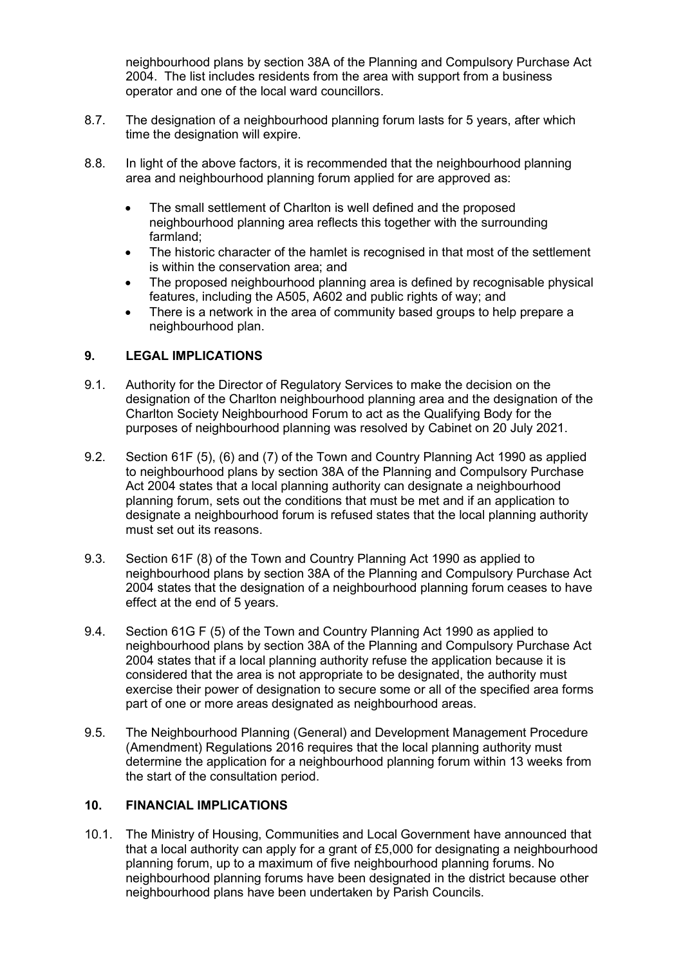neighbourhood plans by section 38A of the Planning and Compulsory Purchase Act 2004. The list includes residents from the area with support from a business operator and one of the local ward councillors.

- 8.7. The designation of a neighbourhood planning forum lasts for 5 years, after which time the designation will expire.
- 8.8. In light of the above factors, it is recommended that the neighbourhood planning area and neighbourhood planning forum applied for are approved as:
	- The small settlement of Charlton is well defined and the proposed neighbourhood planning area reflects this together with the surrounding farmland;
	- The historic character of the hamlet is recognised in that most of the settlement is within the conservation area; and
	- The proposed neighbourhood planning area is defined by recognisable physical features, including the A505, A602 and public rights of way; and
	- There is a network in the area of community based groups to help prepare a neighbourhood plan.

# 9. LEGAL IMPLICATIONS

- 9.1. Authority for the Director of Regulatory Services to make the decision on the designation of the Charlton neighbourhood planning area and the designation of the Charlton Society Neighbourhood Forum to act as the Qualifying Body for the purposes of neighbourhood planning was resolved by Cabinet on 20 July 2021.
- 9.2. Section 61F (5), (6) and (7) of the Town and Country Planning Act 1990 as applied to neighbourhood plans by section 38A of the Planning and Compulsory Purchase Act 2004 states that a local planning authority can designate a neighbourhood planning forum, sets out the conditions that must be met and if an application to designate a neighbourhood forum is refused states that the local planning authority must set out its reasons.
- 9.3. Section 61F (8) of the Town and Country Planning Act 1990 as applied to neighbourhood plans by section 38A of the Planning and Compulsory Purchase Act 2004 states that the designation of a neighbourhood planning forum ceases to have effect at the end of 5 years.
- 9.4. Section 61G F (5) of the Town and Country Planning Act 1990 as applied to neighbourhood plans by section 38A of the Planning and Compulsory Purchase Act 2004 states that if a local planning authority refuse the application because it is considered that the area is not appropriate to be designated, the authority must exercise their power of designation to secure some or all of the specified area forms part of one or more areas designated as neighbourhood areas.
- 9.5. The Neighbourhood Planning (General) and Development Management Procedure (Amendment) Regulations 2016 requires that the local planning authority must determine the application for a neighbourhood planning forum within 13 weeks from the start of the consultation period.

### 10. FINANCIAL IMPLICATIONS

10.1. The Ministry of Housing, Communities and Local Government have announced that that a local authority can apply for a grant of £5,000 for designating a neighbourhood planning forum, up to a maximum of five neighbourhood planning forums. No neighbourhood planning forums have been designated in the district because other neighbourhood plans have been undertaken by Parish Councils.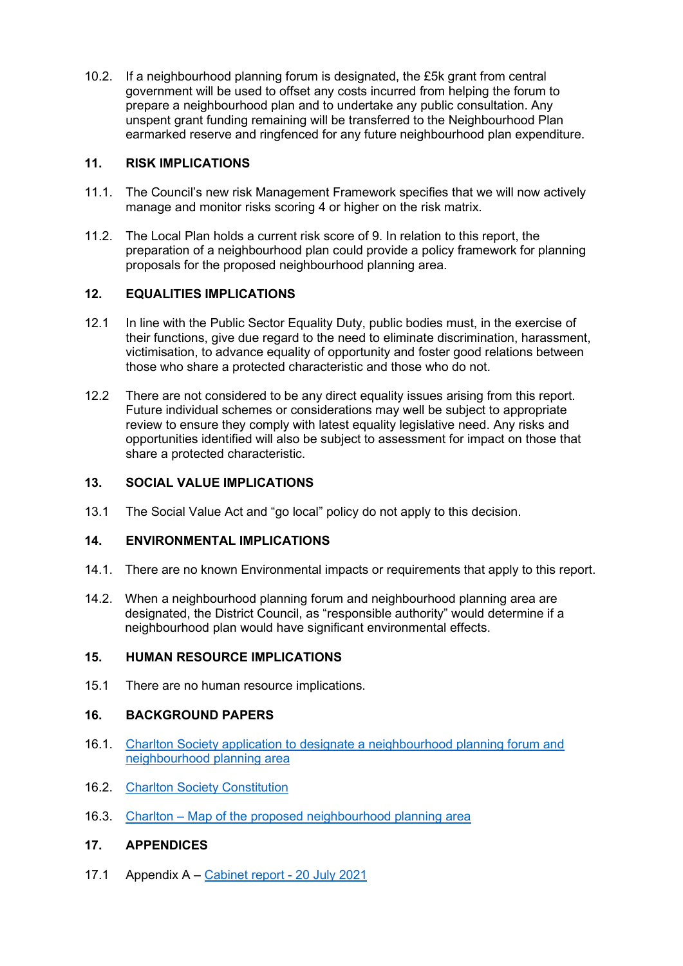10.2. If a neighbourhood planning forum is designated, the £5k grant from central government will be used to offset any costs incurred from helping the forum to prepare a neighbourhood plan and to undertake any public consultation. Any unspent grant funding remaining will be transferred to the Neighbourhood Plan earmarked reserve and ringfenced for any future neighbourhood plan expenditure.

# 11. RISK IMPLICATIONS

- 11.1. The Council's new risk Management Framework specifies that we will now actively manage and monitor risks scoring 4 or higher on the risk matrix.
- 11.2. The Local Plan holds a current risk score of 9. In relation to this report, the preparation of a neighbourhood plan could provide a policy framework for planning proposals for the proposed neighbourhood planning area.

# 12. EQUALITIES IMPLICATIONS

- 12.1 In line with the Public Sector Equality Duty, public bodies must, in the exercise of their functions, give due regard to the need to eliminate discrimination, harassment, victimisation, to advance equality of opportunity and foster good relations between those who share a protected characteristic and those who do not.
- 12.2 There are not considered to be any direct equality issues arising from this report. Future individual schemes or considerations may well be subject to appropriate review to ensure they comply with latest equality legislative need. Any risks and opportunities identified will also be subject to assessment for impact on those that share a protected characteristic.

# 13. SOCIAL VALUE IMPLICATIONS

13.1 The Social Value Act and "go local" policy do not apply to this decision.

### 14. ENVIRONMENTAL IMPLICATIONS

- 14.1. There are no known Environmental impacts or requirements that apply to this report.
- 14.2. When a neighbourhood planning forum and neighbourhood planning area are designated, the District Council, as "responsible authority" would determine if a neighbourhood plan would have significant environmental effects.

### 15. HUMAN RESOURCE IMPLICATIONS

15.1 There are no human resource implications.

### 16. BACKGROUND PAPERS

- 16.1. Charlton Society application to designate a neighbourhood planning forum and neighbourhood planning area
- 16.2. Charlton Society Constitution
- 16.3. Charlton Map of the proposed neighbourhood planning area

### 17. APPENDICES

17.1 Appendix A – Cabinet report - 20 July 2021